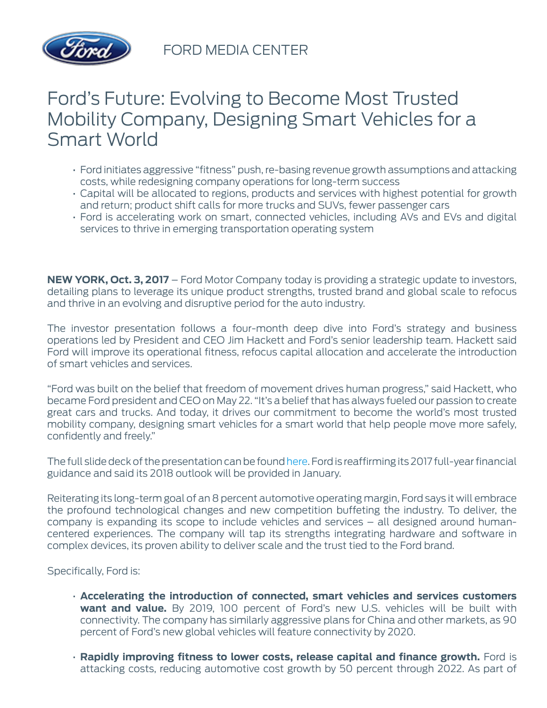

FORD MEDIA CENTER

## Ford's Future: Evolving to Become Most Trusted Mobility Company, Designing Smart Vehicles for a Smart World

- Ford initiates aggressive "fitness" push, re-basing revenue growth assumptions and attacking costs, while redesigning company operations for long-term success
- Capital will be allocated to regions, products and services with highest potential for growth and return; product shift calls for more trucks and SUVs, fewer passenger cars
- Ford is accelerating work on smart, connected vehicles, including AVs and EVs and digital services to thrive in emerging transportation operating system

**NEW YORK, Oct. 3, 2017** – Ford Motor Company today is providing a strategic update to investors, detailing plans to leverage its unique product strengths, trusted brand and global scale to refocus and thrive in an evolving and disruptive period for the auto industry.

The investor presentation follows a four-month deep dive into Ford's strategy and business operations led by President and CEO Jim Hackett and Ford's senior leadership team. Hackett said Ford will improve its operational fitness, refocus capital allocation and accelerate the introduction of smart vehicles and services.

"Ford was built on the belief that freedom of movement drives human progress," said Hackett, who became Ford president and CEO on May 22. "It's a belief that has always fueled our passion to create great cars and trucks. And today, it drives our commitment to become the world's most trusted mobility company, designing smart vehicles for a smart world that help people move more safely, confidently and freely."

The full slide deck of the presentation can be found [here](http://shareholder.ford.com/news-and-events/events/2017/10-03-17). Ford is reaffirming its 2017 full-year financial guidance and said its 2018 outlook will be provided in January.

Reiterating its long-term goal of an 8 percent automotive operating margin, Ford says it will embrace the profound technological changes and new competition buffeting the industry. To deliver, the company is expanding its scope to include vehicles and services – all designed around humancentered experiences. The company will tap its strengths integrating hardware and software in complex devices, its proven ability to deliver scale and the trust tied to the Ford brand.

Specifically, Ford is:

- **Accelerating the introduction of connected, smart vehicles and services customers want and value.** By 2019, 100 percent of Ford's new U.S. vehicles will be built with connectivity. The company has similarly aggressive plans for China and other markets, as 90 percent of Ford's new global vehicles will feature connectivity by 2020.
- **Rapidly improving fitness to lower costs, release capital and finance growth.** Ford is attacking costs, reducing automotive cost growth by 50 percent through 2022. As part of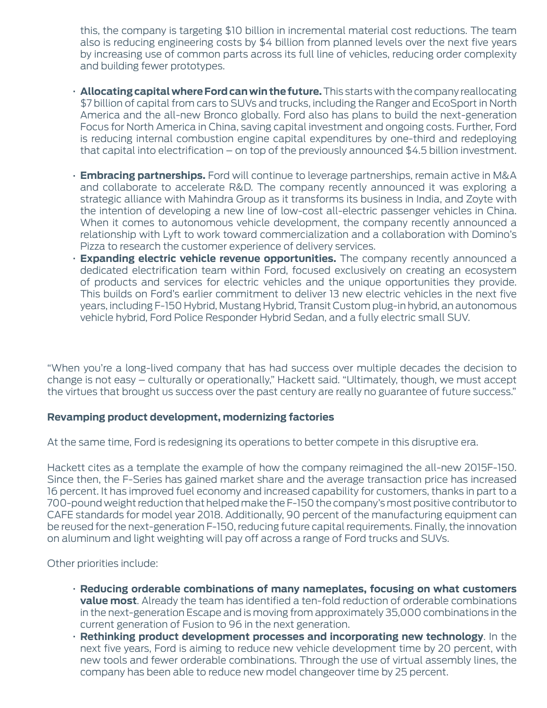this, the company is targeting \$10 billion in incremental material cost reductions. The team also is reducing engineering costs by \$4 billion from planned levels over the next five years by increasing use of common parts across its full line of vehicles, reducing order complexity and building fewer prototypes.

- **Allocating capital where Ford can win the future.** This starts with the company reallocating \$7 billion of capital from cars to SUVs and trucks, including the Ranger and EcoSport in North America and the all-new Bronco globally. Ford also has plans to build the next-generation Focus for North America in China, saving capital investment and ongoing costs. Further, Ford is reducing internal combustion engine capital expenditures by one-third and redeploying that capital into electrification – on top of the previously announced \$4.5 billion investment.
- **Embracing partnerships.** Ford will continue to leverage partnerships, remain active in M&A and collaborate to accelerate R&D. The company recently announced it was exploring a strategic alliance with Mahindra Group as it transforms its business in India, and Zoyte with the intention of developing a new line of low-cost all-electric passenger vehicles in China. When it comes to autonomous vehicle development, the company recently announced a relationship with Lyft to work toward commercialization and a collaboration with Domino's Pizza to research the customer experience of delivery services.
- **Expanding electric vehicle revenue opportunities.** The company recently announced a dedicated electrification team within Ford, focused exclusively on creating an ecosystem of products and services for electric vehicles and the unique opportunities they provide. This builds on Ford's earlier commitment to deliver 13 new electric vehicles in the next five years, including F-150 Hybrid, Mustang Hybrid, Transit Custom plug-in hybrid, an autonomous vehicle hybrid, Ford Police Responder Hybrid Sedan, and a fully electric small SUV.

"When you're a long-lived company that has had success over multiple decades the decision to change is not easy – culturally or operationally," Hackett said. "Ultimately, though, we must accept the virtues that brought us success over the past century are really no guarantee of future success."

## **Revamping product development, modernizing factories**

At the same time, Ford is redesigning its operations to better compete in this disruptive era.

Hackett cites as a template the example of how the company reimagined the all-new 2015F-150. Since then, the F-Series has gained market share and the average transaction price has increased 16 percent. It has improved fuel economy and increased capability for customers, thanks in part to a 700-pound weight reduction that helped make the F-150 the company's most positive contributor to CAFE standards for model year 2018. Additionally, 90 percent of the manufacturing equipment can be reused for the next-generation F-150, reducing future capital requirements. Finally, the innovation on aluminum and light weighting will pay off across a range of Ford trucks and SUVs.

Other priorities include:

- **Reducing orderable combinations of many nameplates, focusing on what customers value most**. Already the team has identified a ten-fold reduction of orderable combinations in the next-generation Escape and is moving from approximately 35,000 combinations in the current generation of Fusion to 96 in the next generation.
- **Rethinking product development processes and incorporating new technology**. In the next five years, Ford is aiming to reduce new vehicle development time by 20 percent, with new tools and fewer orderable combinations. Through the use of virtual assembly lines, the company has been able to reduce new model changeover time by 25 percent.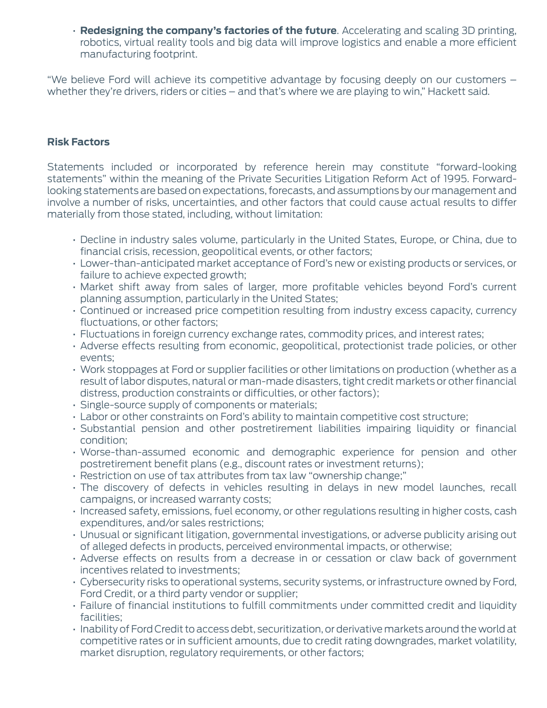• **Redesigning the company's factories of the future**. Accelerating and scaling 3D printing, robotics, virtual reality tools and big data will improve logistics and enable a more efficient manufacturing footprint.

"We believe Ford will achieve its competitive advantage by focusing deeply on our customers – whether they're drivers, riders or cities – and that's where we are playing to win," Hackett said.

## **Risk Factors**

Statements included or incorporated by reference herein may constitute "forward-looking statements" within the meaning of the Private Securities Litigation Reform Act of 1995. Forwardlooking statements are based on expectations, forecasts, and assumptions by our management and involve a number of risks, uncertainties, and other factors that could cause actual results to differ materially from those stated, including, without limitation:

- Decline in industry sales volume, particularly in the United States, Europe, or China, due to financial crisis, recession, geopolitical events, or other factors;
- Lower-than-anticipated market acceptance of Ford's new or existing products or services, or failure to achieve expected growth;
- Market shift away from sales of larger, more profitable vehicles beyond Ford's current planning assumption, particularly in the United States;
- Continued or increased price competition resulting from industry excess capacity, currency fluctuations, or other factors;
- Fluctuations in foreign currency exchange rates, commodity prices, and interest rates;
- Adverse effects resulting from economic, geopolitical, protectionist trade policies, or other events;
- Work stoppages at Ford or supplier facilities or other limitations on production (whether as a result of labor disputes, natural or man-made disasters, tight credit markets or other financial distress, production constraints or difficulties, or other factors);
- Single-source supply of components or materials;
- Labor or other constraints on Ford's ability to maintain competitive cost structure;
- Substantial pension and other postretirement liabilities impairing liquidity or financial condition;
- Worse-than-assumed economic and demographic experience for pension and other postretirement benefit plans (e.g., discount rates or investment returns);
- Restriction on use of tax attributes from tax law "ownership change;"
- The discovery of defects in vehicles resulting in delays in new model launches, recall campaigns, or increased warranty costs;
- Increased safety, emissions, fuel economy, or other regulations resulting in higher costs, cash expenditures, and/or sales restrictions;
- Unusual or significant litigation, governmental investigations, or adverse publicity arising out of alleged defects in products, perceived environmental impacts, or otherwise;
- Adverse effects on results from a decrease in or cessation or claw back of government incentives related to investments;
- Cybersecurity risks to operational systems, security systems, or infrastructure owned by Ford, Ford Credit, or a third party vendor or supplier;
- Failure of financial institutions to fulfill commitments under committed credit and liquidity facilities;
- Inability of Ford Credit to access debt, securitization, or derivative markets around the world at competitive rates or in sufficient amounts, due to credit rating downgrades, market volatility, market disruption, regulatory requirements, or other factors;